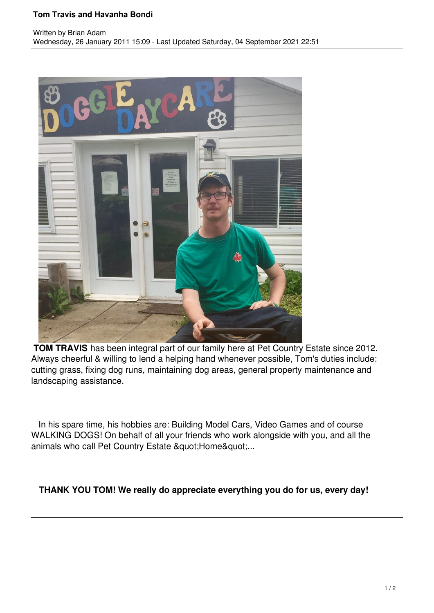## **Tom Travis and Havanha Bondi**



**TOM TRAVIS** has been integral part of our family here at Pet Country Estate since 2012. Always cheerful & willing to lend a helping hand whenever possible, Tom's duties include: cutting grass, fixing dog runs, maintaining dog areas, general property maintenance and landscaping assistance.

 In his spare time, his hobbies are: Building Model Cars, Video Games and of course WALKING DOGS! On behalf of all your friends who work alongside with you, and all the animals who call Pet Country Estate " Home"...

**THANK YOU TOM! We really do appreciate everything you do for us, every day!**